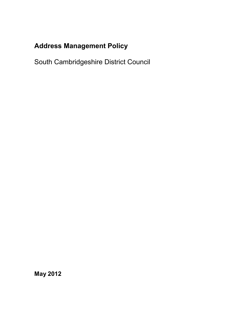# **Address Management Policy**

South Cambridgeshire District Council

**May 2012**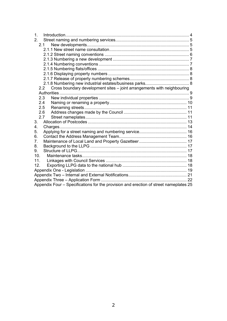| 1 <sub>1</sub>                                                                        |  |  |  |  |
|---------------------------------------------------------------------------------------|--|--|--|--|
| 2.                                                                                    |  |  |  |  |
| 2.1                                                                                   |  |  |  |  |
|                                                                                       |  |  |  |  |
|                                                                                       |  |  |  |  |
|                                                                                       |  |  |  |  |
|                                                                                       |  |  |  |  |
|                                                                                       |  |  |  |  |
|                                                                                       |  |  |  |  |
|                                                                                       |  |  |  |  |
|                                                                                       |  |  |  |  |
| 2.2 Cross boundary development sites - joint arrangements with neighbouring           |  |  |  |  |
|                                                                                       |  |  |  |  |
| 2.3                                                                                   |  |  |  |  |
| 2.4                                                                                   |  |  |  |  |
| 2.5                                                                                   |  |  |  |  |
| 2.6                                                                                   |  |  |  |  |
| 2.7                                                                                   |  |  |  |  |
| 3.                                                                                    |  |  |  |  |
| 4.                                                                                    |  |  |  |  |
| 5.                                                                                    |  |  |  |  |
| 6.                                                                                    |  |  |  |  |
| 7 <sub>1</sub>                                                                        |  |  |  |  |
| 8.                                                                                    |  |  |  |  |
| 9.                                                                                    |  |  |  |  |
| 10.                                                                                   |  |  |  |  |
| 11.                                                                                   |  |  |  |  |
| 12.                                                                                   |  |  |  |  |
|                                                                                       |  |  |  |  |
|                                                                                       |  |  |  |  |
|                                                                                       |  |  |  |  |
| Appendix Four - Specifications for the provision and erection of street nameplates 25 |  |  |  |  |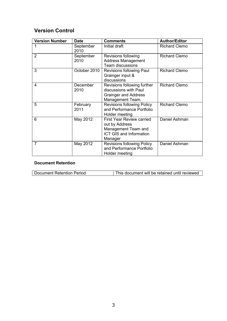# **Version Control**

| <b>Version Number</b> | <b>Date</b>       | <b>Comments</b>                                                                                                 | <b>Author/Editor</b> |
|-----------------------|-------------------|-----------------------------------------------------------------------------------------------------------------|----------------------|
|                       | September<br>2010 | Initial draft                                                                                                   | <b>Richard Clemo</b> |
| $\overline{2}$        | September<br>2010 | Revisions following<br><b>Address Management</b><br><b>Team discussions</b>                                     | <b>Richard Clemo</b> |
| 3                     | October 2010      | Revisions following Paul<br>Grainger input &<br>discussions                                                     | <b>Richard Clemo</b> |
| 4                     | December<br>2010  | Revisions following further<br>discussions with Paul<br><b>Grainger and Address</b><br>Management Team.         | <b>Richard Clemo</b> |
| 5                     | February<br>2011  | <b>Revisions following Policy</b><br>and Performance Portfolio<br>Holder meeting                                | <b>Richard Clemo</b> |
| 6                     | May 2012          | <b>First Year Review carried</b><br>out by Address<br>Management Team and<br>ICT GIS and Information<br>Manager | Daniel Ashman        |
| 7                     | May 2012          | <b>Revisions following Policy</b><br>and Performance Portfolio<br>Holder meeting                                | Daniel Ashman        |

### **Document Retention**

| Document Retention Period | This document will be retained until reviewed |
|---------------------------|-----------------------------------------------|
|---------------------------|-----------------------------------------------|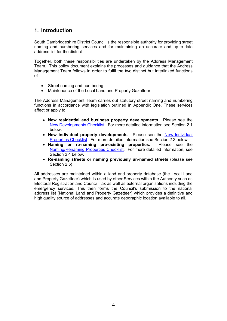# <span id="page-3-0"></span>**1. Introduction**

South Cambridgeshire District Council is the responsible authority for providing street naming and numbering services and for maintaining an accurate and up-to-date address list for the district.

Together, both these responsibilities are undertaken by the Address Management Team. This policy document explains the processes and guidance that the Address Management Team follows in order to fulfil the two distinct but interlinked functions of:

- Street naming and numbering
- Maintenance of the Local Land and Property Gazetteer

The Address Management Team carries out statutory street naming and numbering functions in accordance with legislation outlined in Appendix One. These services affect or apply to::

- **New residential and business property developments**. Please see the New Developments Checklist. For more detailed information see Section 2.1 below.
- **New individual property developments**. Please see the New Individual Properties Checklist. For more detailed information see Section 2.3 below.
- **Naming or re-naming pre-existing properties.** Please see the Naming/Renaming Properties Checklist. For more detailed information, see Section 2.4 below
- **Re-naming streets or naming previously un-named streets** (please see Section 2.5)

All addresses are maintained within a land and property database (the Local Land and Property Gazetteer) which is used by other Services within the Authority such as Electoral Registration and Council Tax as well as external organisations including the emergency services. This then forms the Council's submission to the national address list (National Land and Property Gazetteer) which provides a definitive and high quality source of addresses and accurate geographic location available to all.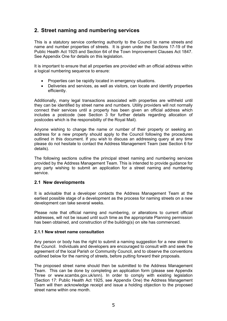### **2. Street naming and numbering services**

This is a statutory service conferring authority to the Council to name streets and name and number properties of streets. It is given under the Sections 17-19 of the Public Health Act 1925 and Section 64 of the Town Improvement Clauses Act 1847. See Appendix One for details on this legislation.

It is important to ensure that all properties are provided with an official address within a logical numbering sequence to ensure:

- Properties can be rapidly located in emergency situations.
- Deliveries and services, as well as visitors, can locate and identify properties efficiently.

Additionally, many legal transactions associated with properties are withheld until they can be identified by street name and numbers. Utility providers will not normally connect their services until a property has been given an official address which includes a postcode (see Section 3 for further details regarding allocation of postcodes which is the responsibility of the Royal Mail).

Anyone wishing to change the name or number of their property or seeking an address for a new property should apply to the Council following the procedures outlined in this document. If you wish to discuss an addressing query at any time please do not hesitate to contact the Address Management Team (see Section 6 for details).

The following sections outline the principal street naming and numbering services provided by the Address Management Team. This is intended to provide guidance for any party wishing to submit an application for a street naming and numbering service.

### **2.1 New developments**

It is advisable that a developer contacts the Address Management Team at the earliest possible stage of a development as the process for naming streets on a new development can take several weeks.

Please note that official naming and numbering, or alterations to current official addresses, will not be issued until such time as the appropriate Planning permission has been obtained, and construction of the building(s) on site has commenced.

### **2.1.1 New street name consultation**

Any person or body has the right to submit a naming suggestion for a new street to the Council. Individuals and developers are encouraged to consult with and seek the agreement of the local Parish or Community Council, and to observe the conventions outlined below for the naming of streets, before putting forward their proposals.

The proposed street name should then be submitted to the Address Management Team. This can be done by completing an application form (please see Appendix Three or www.scambs.gov.uk/snn). In order to comply with existing legislation (Section 17: Public Health Act 1925, see Appendix One) the Address Management Team will then acknowledge receipt and issue a holding objection to the proposed street name within one month.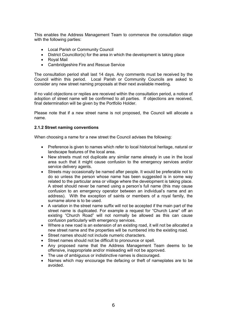This enables the Address Management Team to commence the consultation stage with the following parties:

- Local Parish or Community Council
- District Councillor(s) for the area in which the development is taking place
- Royal Mail
- Cambridgeshire Fire and Rescue Service

The consultation period shall last 14 days. Any comments must be received by the Council within this period. Local Parish or Community Councils are asked to consider any new street naming proposals at their next available meeting.

If no valid objections or replies are received within the consultation period, a notice of adoption of street name will be confirmed to all parties. If objections are received, final determination will be given by the Portfolio Holder.

Please note that if a new street name is not proposed, the Council will allocate a name.

### **2.1.2 Street naming conventions**

When choosing a name for a new street the Council advises the following:

- Preference is given to names which refer to local historical heritage, natural or landscape features of the local area.
- New streets must not duplicate any similar name already in use in the local area such that it might cause confusion to the emergency services and/or service delivery agents.
- Streets may occasionally be named after people. It would be preferable not to do so unless the person whose name has been suggested is in some way related to the particular area or village where the development is taking place. A street should never be named using a person's full name (this may cause confusion to an emergency operator between an individual's name and an address). With the exception of saints or members of a royal family, the surname alone is to be used.
- A variation in the street name suffix will not be accepted if the main part of the street name is duplicated. For example a request for "Church Lane" off an existing "Church Road" will not normally be allowed as this can cause confusion particularly with emergency services.
- Where a new road is an extension of an existing road, it will not be allocated a new street name and the properties will be numbered into the existing road.
- Street names should not include numeric characters.
- Street names should not be difficult to pronounce or spell.
- Any proposed name that the Address Management Team deems to be offensive, inappropriate and/or misleading will not be approved.
- The use of ambiguous or indistinctive names is discouraged.
- Names which may encourage the defacing or theft of nameplates are to be avoided.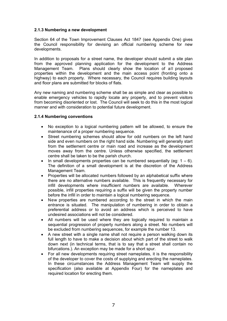### **2.1.3 Numbering a new development**

Section 64 of the Town Improvement Clauses Act 1847 (see Appendix One) gives the Council responsibility for devising an official numbering scheme for new developments.

In addition to proposals for a street name, the developer should submit a site plan from the approved planning application for the development to the Address Management Team. Plans should clearly show the location of all proposed properties within the development and the main access point (fronting onto a highway) to each property. Where necessary, the Council requires building layouts and floor plans are submitted for blocks of flats.

Any new naming and numbering scheme shall be as simple and clear as possible to enable emergency vehicles to rapidly locate any property, and to prevent visitors from becoming disoriented or lost. The Council will seek to do this in the most logical manner and with consideration to potential future development.

### **2.1.4 Numbering conventions**

- No exception to a logical numbering pattern will be allowed, to ensure the maintenance of a proper numbering sequence.
- Street numbering schemes should allow for odd numbers on the left hand side and even numbers on the right hand side. Numbering will generally start from the settlement centre or main road and increase as the development moves away from the centre. Unless otherwise specified, the settlement centre shall be taken to be the parish church.
- In small developments properties can be numbered sequentially (eq:  $1 6$ ). The definition of a small development is at the discretion of the Address Management Team.
- Properties will be allocated numbers followed by an alphabetical suffix where there are no alternative numbers available. This is frequently necessary for infill developments where insufficient numbers are available. Wherever possible, infill properties requiring a suffix will be given the property number before the infill in order to maintain a logical numbering sequence.
- New properties are numbered according to the street in which the main entrance is situated. The manipulation of numbering in order to obtain a preferential address or to avoid an address which is perceived to have undesired associations will not be considered.
- All numbers will be used where they are logically required to maintain a sequential progression of property numbers along a street. No numbers will be excluded from numbering sequences, for example the number 13.
- A new street with a single name shall not require a person walking down its full length to have to make a decision about which part of the street to walk down next (in technical terms, that is to say that a street shall contain no bifurcations.). An exception may be made for a short spur.
- For all new developments requiring street nameplates, it is the responsibility of the developer to cover the costs of supplying and erecting the nameplates. In these circumstances the Address Management Team will supply the specification (also available at Appendix Four) for the nameplates and required location for erecting them.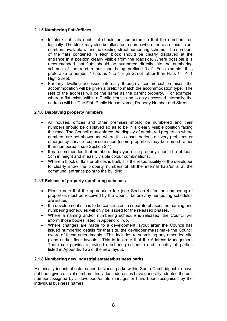### **2.1.5 Numbering flats/offices**

- In blocks of flats each flat should be numbered so that the numbers run logically. The block may also be allocated a name where there are insufficient numbers available within the existing street numbering scheme. The numbers of the flats contained in each block should be clearly displayed at the entrance in a position clearly visible from the roadside. Where possible it is recommended that flats should be numbered directly into the numbering scheme of the road rather than being prefixed 'flat'. For example, it is preferable to number 4 flats as 1 to 4 High Street rather than Flats 1 – 4, 1 High Street.
- For any dwelling accessed internally through a commercial premises, the accommodation will be given a prefix to match the accommodation type. The rest of the address will be the same as the parent property. For example, where a flat exists within a Public House and is only accessed internally, the address will be 'The Flat, Public House Name, Property Number and Street'.

### **2.1.6 Displaying property numbers**

- All houses, offices and other premises should be numbered and their numbers should be displayed so as to be in a clearly visible position facing the road. The Council may enforce the display of numbered properties where numbers are not shown and where this causes serious delivery problems or emergency service response issues (some properties may be named rather than numbered – see Section 2.4).
- It is recommended that numbers displayed on a property should be at least 5cm in height and in easily visible colour combinations.
- Where a block of flats or offices is built, it is the responsibility of the developer to clearly show the property numbers of all the internal flats/units at the communal entrance point to the building.

### **2.1.7 Release of property numbering schemes**

- Please note that the appropriate fee (see Section 4) for the numbering of properties must be received by the Council before any numbering schedules are issued.
- If a development site is to be constructed in separate phases, the naming and numbering schedules will only be issued for the released phases.
- Where a naming and/or numbering schedule is released, the Council will inform those bodies listed in Appendix Two.
- Where changes are made to a development layout **after** the Council has issued numbering details for that site, the developer **must** make the Council aware of these amendments. This includes re-submitting any amended site plans and/or floor layouts. This is in order that the Address Management Team can provide a revised numbering schedule and re-notify all parties listed in Appendix Two of the new layout.

### **2.1.8 Numbering new industrial estates/business parks**

Historically industrial estates and business parks within South Cambridgeshire have not been given official numbers. Individual addresses have generally adopted the unit number assigned by a developer/estate manager or have been recognised by the individual business names.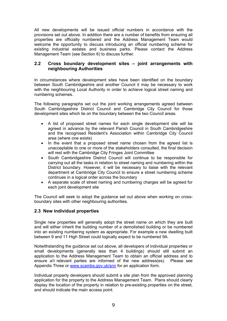All new developments will be issued official numbers in accordance with the provisions set out above. In addition there are a number of benefits from ensuring all properties are officially numbered and the Address Management Team would welcome the opportunity to discuss introducing an official numbering scheme for existing industrial estates and business parks. Please contact the Address Management Team (see Section 6) to discuss further.

### **2.2 Cross boundary development sites – joint arrangements with neighbouring Authorities**

In circumstances where development sites have been identified on the boundary between South Cambridgeshire and another Council it may be necessary to work with the neighbouring Local Authority in order to achieve logical street naming and numbering schemes.

The following paragraphs set out the joint working arrangements agreed between South Cambridgeshire District Council and Cambridge City Council for those development sites which lie on the boundary between the two Council areas.

- A list of proposed street names for each single development site will be agreed in advance by the relevant Parish Council in South Cambridgeshire and the recognised Resident's Association within Cambridge City Council area (where one exists)
- In the event that a proposed street name chosen from the agreed list is unacceptable to one or more of the stakeholders consulted, the final decision will rest with the Cambridge City Fringes Joint Committee
- South Cambridgeshire District Council will continue to be responsible for carrying out all the tasks in relation to street naming and numbering within the District boundary. However, it will be necessary to liaise with the relevant department at Cambridge City Council to ensure a street numbering scheme continues in a logical order across the boundary
- A separate scale of street naming and numbering charges will be agreed for each joint development site

The Council will seek to adopt the guidance set out above when working on crossboundary sites with other neighbouring authorities.

### **2.3 New individual properties**

Single new properties will generally adopt the street name on which they are built and will either inherit the building number of a demolished building or be numbered into an existing numbering system as appropriate. For example a new dwelling built between 9 and 11 High Street could logically expect to be numbered 9A.

Notwithstanding the guidance set out above, all developers of individual properties or small developments (generally less than 4 buildings) should still submit an application to the Address Management Team to obtain an official address and to ensure all relevant parties are informed of the new address(es). P[le](http://www.scambs.gov.uk/snn)ase see Appendix Three or www.scambs.gov.uk/snn for an application form.

Individual property developers should submit a site plan from the approved planning application for the property to the Address Management Team. Plans should clearly display the location of the property in relation to pre-existing properties on the street, and should indicate the main access point.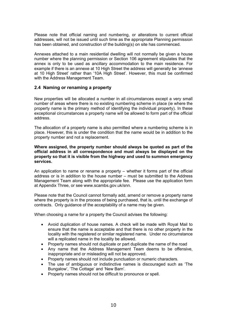Please note that official naming and numbering, or alterations to current official addresses, will not be issued until such time as the appropriate Planning permission has been obtained, and construction of the building(s) on site has commenced.

Annexes attached to a main residential dwelling will not normally be given a house number where the planning permission or Section 106 agreement stipulates that the annex is only to be used as ancillary accommodation to the main residence. For example if there is an annexe at 10 High Street the address will generally be 'annexe at 10 High Street' rather than '10A High Street'. However, this must be confirmed with the Address Management Team.

### **2.4 Naming or renaming a property**

New properties will be allocated a number in all circumstances except a very small number of areas where there is no existing numbering scheme in place (ie where the property name is the primary method of identifying the individual property). In these exceptional circumstances a property name will be allowed to form part of the official address.

The allocation of a property name is also permitted where a numbering scheme is in place. However, this is under the condition that the name would be in addition to the property number and not a replacement.

**Where assigned, the property number should always be quoted as part of the official address in all correspondence and must always be displayed on the property so that it is visible from the highway and used to summon emergency services.**

An application to name or rename a property – whether it forms part of the official address or is in addition to the house number – must be submitted to the Address Management Team along with the appropriate fee. Please use the application form at Appendix Three, or see www.scambs.gov.uk/snn.

Please note that the Council cannot formally add, amend or remove a property name where the property is in the process of being purchased, that is, until the exchange of contracts. Only guidance of the acceptability of a name may be given.

When choosing a name for a property the Council advises the following:

- Avoid duplication of house names. A check will be made with Royal Mail to ensure that the name is acceptable and that there is no other property in the locality with the registered or similar registered name. Under no circumstance will a replicated name in the locality be allowed.
- Property names should not duplicate or part duplicate the name of the road
- Any name that the Address Management Team deems to be offensive, inappropriate and or misleading will not be approved.
- Property names should not include punctuation or numeric characters.
- The use of ambiguous or indistinctive names is discouraged such as 'The Bungalow', 'The Cottage' and 'New Barn'.
- Property names should not be difficult to pronounce or spell.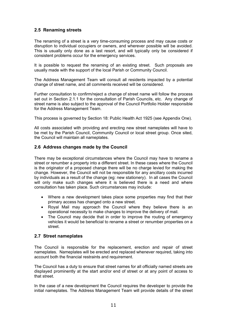### **2.5 Renaming streets**

The renaming of a street is a very time-consuming process and may cause costs or disruption to individual occupiers or owners, and wherever possible will be avoided. This is usually only done as a last resort, and will typically only be considered if consistent problems occur for the emergency services.

It is possible to request the renaming of an existing street. Such proposals are usually made with the support of the local Parish or Community Council.

The Address Management Team will consult all residents impacted by a potential change of street name, and all comments received will be considered.

Further consultation to confirm/reject a change of street name will follow the process set out in Section 2.1.1 for the consultation of Parish Councils, etc. Any change of street name is also subject to the approval of the Council Portfolio Holder responsible for the Address Management Team.

This process is governed by Section 18: Public Health Act 1925 (see Appendix One).

All costs associated with providing and erecting new street nameplates will have to be met by the Parish Council, Community Council or local street group. Once sited, the Council will maintain all nameplates.

### **2.6 Address changes made by the Council**

There may be exceptional circumstances where the Council may have to rename a street or renumber a property into a different street. In these cases where the Council is the originator of a proposed change there will be no charge levied for making the change. However, the Council will not be responsible for any ancillary costs incurred by individuals as a result of the change (eg: new stationery). In all cases the Council will only make such changes where it is believed there is a need and where consultation has taken place. Such circumstances may include:

- Where a new development takes place some properties may find that their primary access has changed onto a new street.
- Royal Mail may approach the Council where they believe there is an operational necessity to make changes to improve the delivery of mail.
- The Council may decide that in order to improve the routing of emergency vehicles it would be beneficial to rename a street or renumber properties on a street.

### **2.7 Street nameplates**

The Council is responsible for the replacement, erection and repair of street nameplates. Nameplates will be erected and replaced whenever required, taking into account both the financial restraints and requirement.

The Council has a duty to ensure that street names for all officially named streets are displayed prominently at the start and/or end of street or at any point of access to that street.

In the case of a new development the Council requires the developer to provide the initial nameplates. The Address Management Team will provide details of the street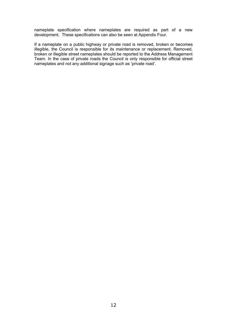nameplate specification where nameplates are required as part of a new development. These specifications can also be seen at Appendix Four.

If a nameplate on a public highway or private road is removed, broken or becomes illegible, the Council is responsible for its maintenance or replacement. Removed, broken or illegible street nameplates should be reported to the Address Management Team. In the case of private roads the Council is only responsible for official street nameplates and not any additional signage such as 'private road'.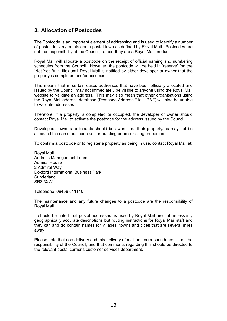# **3. Allocation of Postcodes**

The Postcode is an important element of addressing and is used to identify a number of postal delivery points and a postal town as defined by Royal Mail. Postcodes are not the responsibility of the Council; rather, they are a Royal Mail product.

Royal Mail will allocate a postcode on the receipt of official naming and numbering schedules from the Council. However, the postcode will be held in 'reserve' (on the 'Not Yet Built' file) until Royal Mail is notified by either developer or owner that the property is completed and/or occupied.

This means that in certain cases addresses that have been officially allocated and issued by the Council may not immediately be visible to anyone using the Royal Mail website to validate an address. This may also mean that other organisations using the Royal Mail address database (Postcode Address File – PAF) will also be unable to validate addresses.

Therefore, if a property is completed or occupied, the developer or owner should contact Royal Mail to activate the postcode for the address issued by the Council.

Developers, owners or tenants should be aware that their property/ies may not be allocated the same postcode as surrounding or pre-existing properties.

To confirm a postcode or to register a property as being in use, contact Royal Mail at:

Royal Mail Address Management Team Admiral House 2 Admiral Way Doxford International Business Park **Sunderland** SR3 3XW

Telephone: 08456 011110

The maintenance and any future changes to a postcode are the responsibility of Royal Mail.

It should be noted that postal addresses as used by Royal Mail are not necessarily geographically accurate descriptions but routing instructions for Royal Mail staff and they can and do contain names for villages, towns and cities that are several miles away.

Please note that non-delivery and mis-delivery of mail and correspondence is not the responsibility of the Council, and that comments regarding this should be directed to the relevant postal carrier's customer services department.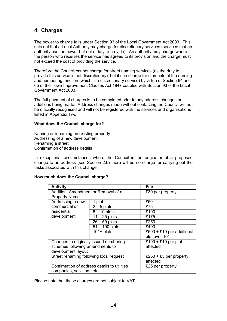# **4. Charges**

The power to charge falls under Section 93 of the Local Government Act 2003. This sets out that a Local Authority may charge for discretionary services (services that an authority has the power but not a duty to provide). An authority may charge where the person who receives the service has agreed to its provision and the charge must not exceed the cost of providing the service.

Therefore the Council cannot charge for street naming services (as the duty to provide this service is not discretionary), but it can charge for elements of the naming and numbering function (which is a discretionary service) by virtue of Section 64 and 65 of the Town Improvement Clauses Act 1847 coupled with Section 93 of the Local Government Act 2003.

The full payment of charges is to be completed prior to any address changes or additions being made. Address changes made without contacting the Council will not be officially recognised and will not be registered with the services and organisations listed in Appendix Two.

### **What does the Council charge for?**

Naming or renaming an existing property Addressing of a new development Renaming a street Confirmation of address details

In exceptional circumstances where the Council is the originator of a proposed change to an address (see Section 2.6) there will be no charge for carrying out the tasks associated with this change.

### **How much does the Council charge?**

| <b>Activity</b>                         | Fee                                          |                           |  |  |  |
|-----------------------------------------|----------------------------------------------|---------------------------|--|--|--|
| Addition, Amendment or Removal of a     |                                              | £30 per property          |  |  |  |
| <b>Property Name</b>                    |                                              |                           |  |  |  |
| Addressing a new                        | 1 plot                                       | £50                       |  |  |  |
| commercial or                           | $2 - 5$ plots                                | £75                       |  |  |  |
| residential                             | $6 - 10$ plots                               | £100                      |  |  |  |
| development                             | $11 - 25$ plots                              | £175                      |  |  |  |
|                                         | $26 - 50$ plots                              | £250                      |  |  |  |
|                                         | $51 - 100$ plots                             | £400                      |  |  |  |
|                                         | $101 +$ plots                                | £500 + £10 per additional |  |  |  |
|                                         |                                              | plot over 101             |  |  |  |
| Changes to originally issued numbering  |                                              | £100 + £10 per plot       |  |  |  |
| schemes following amendments to         | affected                                     |                           |  |  |  |
| development layout                      |                                              |                           |  |  |  |
| Street renaming following local request |                                              | £250 + £5 per property    |  |  |  |
|                                         | affected                                     |                           |  |  |  |
|                                         | Confirmation of address details to utilities | £25 per property          |  |  |  |
| companies, solicitors, etc.             |                                              |                           |  |  |  |

Please note that these charges are not subject to VAT.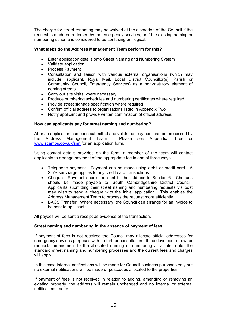The charge for street renaming may be waived at the discretion of the Council if the request is made or endorsed by the emergency services, or if the existing naming or numbering scheme is considered to be confusing or illogical.

### **What tasks do the Address Management Team perform for this?**

- Enter application details onto Street Naming and Numbering System
- Validate application
- Process Payment
- Consultation and liaison with various external organisations (which may include: applicant, Royal Mail, Local District Councillor(s), Parish or Community Council, Emergency Services) as a non-statutory element of naming streets
- Carry out site visits where necessary
- Produce numbering schedules and numbering certificates where required
- Provide street signage specification where required
- Confirm official address to organisations listed in Appendix Two
- Notify applicant and provide written confirmation of official address.

### **How can applicants pay for street naming and numbering?**

After an application has been submitted and validated, payment can be processed by the Address Management Team. Please see Appendix Three or www.scambs.gov.uk/snn for an [ap](http://www.scambs.gov.uk/snn)plication form.

Using contact details provided on the form, a member of the team will contact applicants to arrange payment of the appropriate fee in one of three ways:

- Telephone payment. Payment can be made using debit or credit card. A 2.5% surcharge applies to any credit card transactions.
- Cheque. Payment should be sent to the address in Section 6. Cheques should be made payable to 'South Cambridgeshire District Council'. Applicants submitting their street naming and numbering requests via post may wish to send a cheque with the initial application. This enables the Address Management Team to process the request more efficiently.
- BACS Transfer. Where necessary, the Council can arrange for an invoice to be sent to applicants.

All payees will be sent a receipt as evidence of the transaction.

### **Street naming and numbering in the absence of payment of fees**

If payment of fees is not received the Council may allocate official addresses for emergency services purposes with no further consultation. If the developer or owner requests amendment to the allocated naming or numbering at a later date, the standard street naming and numbering processes and the current fees and charges will apply.

In this case internal notifications will be made for Council business purposes only but no external notifications will be made or postcodes allocated to the properties.

If payment of fees is not received in relation to adding, amending or removing an existing property, the address will remain unchanged and no internal or external notifications made.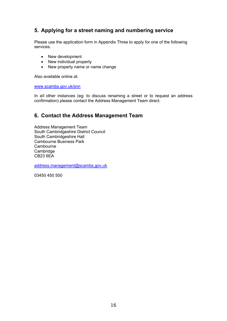# **5. Applying for a street naming and numbering service**

Please use the application form in Appendix Three to apply for one of the following services.

- New development
- New individual property
- New property name or name change

Also available online at:

www.scambs.gov.uk/snn

In all other instances (eg: to discuss renaming a street or to request an address confirmation) please contact the Address Management Team direct.

### **6. Contact the Address Management Team**

Address Management Team South Cambridgeshire District Council South Cambridgeshire Hall Cambourne Business Park **Cambourne Cambridge** CB23 6EA

address.management@scambs.gov.uk

03450 450 500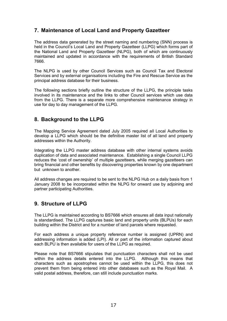# **7. Maintenance of Local Land and Property Gazetteer**

The address data generated by the street naming and numbering (SNN) process is held in the Council's Local Land and Property Gazetteer (LLPG) which forms part of the National Land and Property Gazetteer (NLPG), both of which are continuously maintained and updated in accordance with the requirements of British Standard 7666.

The NLPG is used by other Council Services such as Council Tax and Electoral Services and by external organisations including the Fire and Rescue Service as the principal address database for their business.

The following sections briefly outline the structure of the LLPG, the principle tasks involved in its maintenance and the links to other Council services which use data from the LLPG. There is a separate more comprehensive maintenance strategy in use for day to day management of the LLPG.

### **8. Background to the LLPG**

The Mapping Service Agreement dated July 2005 required all Local Authorities to develop a LLPG which should be the definitive master list of all land and property addresses within the Authority.

Integrating the LLPG master address database with other internal systems avoids duplication of data and associated maintenance. Establishing a single Council LLPG reduces the 'cost of ownership' of multiple gazetteers, while merging gazetteers can bring financial and other benefits by discovering properties known by one department but unknown to another.

All address changes are required to be sent to the NLPG Hub on a daily basis from 1 January 2008 to be incorporated within the NLPG for onward use by adjoining and partner participating Authorities.

# **9. Structure of LLPG**

The LLPG is maintained according to BS7666 which ensures all data input nationally is standardised. The LLPG captures basic land and property units (BLPUs) for each building within the District and for a number of land parcels where requested.

For each address a unique property reference number is assigned (UPRN) and addressing information is added (LPI). All or part of the information captured about each BLPU is then available for users of the LLPG as required.

Please note that BS7666 stipulates that punctuation characters shall not be used within the address details entered into the LLPG. Although this means that characters such as apostrophes cannot be used within the LLPG, this does not prevent them from being entered into other databases such as the Royal Mail. A valid postal address, therefore, can still include punctuation marks.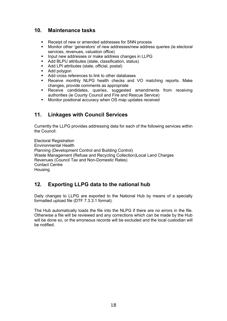### **10. Maintenance tasks**

- Receipt of new or amended addresses for SNN process
- Monitor other 'generators' of new addresses/new address queries (ie electoral services, revenues, valuation office)
- **Input new addresses or make address changes in LLPG**
- Add BLPU attributes (state, classification, status)
- Add LPI attributes (state, official, postal)
- Add polygon
- Add cross references to link to other databases
- Receive monthly NLPG health checks and VO matching reports. Make changes, provide comments as appropriate
- Receive candidates, queries, suggested amendments from receiving authorities (ie County Council and Fire and Rescue Service)
- Monitor positional accuracy when OS map updates received

### **11. Linkages with Council Services**

Currently the LLPG provides addressing data for each of the following services within the Council:

Electoral Registration Environmental Health Planning (Development Control and Building Control) Waste Management (Refuse and Recycling Collection)Local Land Charges Revenues (Council Tax and Non-Domestic Rates) Contact Centre **Housing** 

### **12. Exporting LLPG data to the national hub**

Daily changes to LLPG are exported to the National Hub by means of a specially formatted upload file (DTF 7.3.3.1 format).

The Hub automatically loads the file into the NLPG if there are no errors in the file. Otherwise a file will be reviewed and any corrections which can be made by the Hub will be done so, or the erroneous records will be excluded and the local custodian will be notified.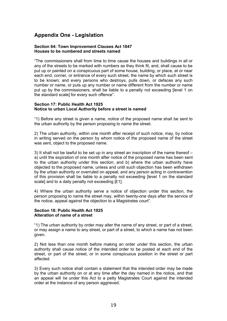# **Appendix One - Legislation**

### **Section 64: Town Improvement Clauses Act 1847 Houses to be numbered and streets named**

"The commissioners shall from time to time cause the houses and buildings in all or any of the streets to be marked with numbers as they think fit, and, shall cause to be put up or painted on a conspicuous part of some house, building, or place, at or near each end, corner, or entrance of every such street, the name by which such street is to be known; and every persons who destroys, pulls down, or defaces any such number or name, or puts up any number or name different from the number or name put up by the commissioners, shall be liable to a penalty not exceeding [level 1 on the standard scale] for every such offence".

#### **Section 17: Public Health Act 1925 Notice to urban Local Authority before a street is named**

"1) Before any street is given a name, notice of the proposed name shall be sent to the urban authority by the person proposing to name the street.

2) The urban authority, within one month after receipt of such notice, may, by notice in writing served on the person by whom notice of the proposed name of the street was sent, object to the proposed name.

3) It shall not be lawful to be set up in any street an inscription of the name thereof – a) until the expiration of one month after notice of the proposed name has been sent to the urban authority under this section; and b) where the urban authority have objected to the proposed name, unless and until such objection has been withdrawn by the urban authority or overruled on appeal; and any person acting in contravention of this provision shall be liable to a penalty not exceeding [level 1 on the standard scale] and to a daily penalty not exceeding [£1].

4) Where the urban authority serve a notice of objection under this section, the person proposing to name the street may, within twenty-one days after the service of the notice, appeal against the objection to a Magistrates court".

### **Section 18: Public Health Act 1925 Alteration of name of a street**

"1) The urban authority by order may alter the name of any street, or part of a street, or may assign a name to any street, or part of a street, to which a name has not been given.

2) Not less than one month before making an order under this section, the urban authority shall cause notice of the intended order to be posted at each end of the street, or part of the street, or in some conspicuous position in the street or part affected.

3) Every such notice shall contain a statement that the intended order may be made by the urban authority on or at any time after the day named in the notice, and that an appeal will lie under this Act to a petty Magistrates Court against the intended order at the instance of any person aggrieved.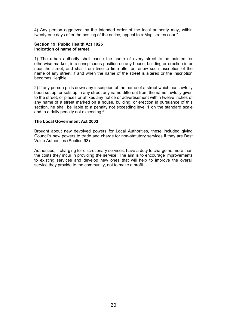4) Any person aggrieved by the intended order of the local authority may, within twenty-one days after the posting of the notice, appeal to a Magistrates court".

#### **Section 19: Public Health Act 1925 Indication of name of street**

1) The urban authority shall cause the name of every street to be painted, or otherwise marked, in a conspicuous position on any house, building or erection in or near the street, and shall from time to time alter or renew such inscription of the name of any street, if and when the name of the street is altered or the inscription becomes illegible

2) If any person pulls down any inscription of the name of a street which has lawfully been set up, or sets up in any street any name different from the name lawfully given to the street, or places or affixes any notice or advertisement within twelve inches of any name of a street marked on a house, building, or erection in pursuance of this section, he shall be liable to a penalty not exceeding level 1 on the standard scale and to a daily penalty not exceeding £1

#### **The Local Government Act 2003**

Brought about new devolved powers for Local Authorities, these included giving Council's new powers to trade and charge for non-statutory services if they are Best Value Authorities (Section 93).

Authorities, if charging for discretionary services, have a duty to charge no more than the costs they incur in providing the service. The aim is to encourage improvements to existing services and develop new ones that will help to improve the overall service they provide to the community, not to make a profit.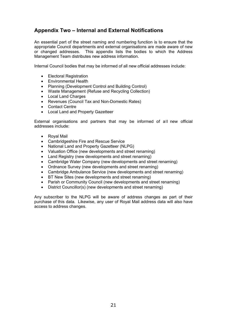# **Appendix Two – Internal and External Notifications**

An essential part of the street naming and numbering function is to ensure that the appropriate Council departments and external organisations are made aware of new or changed addresses. This appendix lists the bodies to which the Address Management Team distributes new address information.

Internal Council bodies that may be informed of all new official addresses include:

- Electoral Registration
- Environmental Health
- Planning (Development Control and Building Control)
- Waste Management (Refuse and Recycling Collection)
- Local Land Charges
- Revenues (Council Tax and Non-Domestic Rates)
- Contact Centre
- Local Land and Property Gazetteer

External organisations and partners that may be informed of all new official addresses include:

- Royal Mail
- Cambridgeshire Fire and Rescue Service
- National Land and Property Gazetteer (NLPG)
- Valuation Office (new developments and street renaming)
- Land Registry (new developments and street renaming)
- Cambridge Water Company (new developments and street renaming)
- Ordnance Survey (new developments and street renaming)
- Cambridge Ambulance Service (new developments and street renaming)
- BT New Sites (new developments and street renaming)
- Parish or Community Council (new developments and street renaming)
- District Councillor(s) (new developments and street renaming)

Any subscriber to the NLPG will be aware of address changes as part of their purchase of this data. Likewise, any user of Royal Mail address data will also have access to address changes.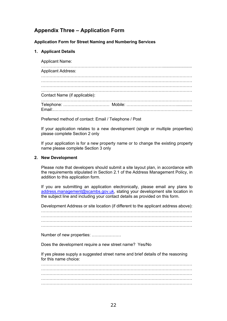# **Appendix Three – Application Form**

### **Application Form for Street Naming and Numbering Services**

### **1. Applicant Details**

Applicant Name: ……………………………………………………………………………......................... Applicant Address: ……………………………………………………………………………………………… ……………………………………………………………………………………………… ……………………………………………………………………………………………… ……………………………………………………………………………………………… Contact Name (if applicable): ……………………………………………………………………………………………… Telephone: …………………………… Mobile: ………………………………............. Email:……………………………………………………………………………………….

Preferred method of contact: Email / Telephone / Post

If your application relates to a new development (single or multiple properties) please complete Section 2 only

If your application is for a new property name or to change the existing property name please complete Section 3 only

### **2. New Development**

Please note that developers should submit a site layout plan, in accordance with the requirements stipulated in Section 2.1 of the Address Management Policy, in addition to this application form.

If you are submitting an application electronically, please email any plans to address.management@scambs.gov.uk, stating your developm[en](mailto:address.management@scambs.gov.uk)t site location in the subject line and including your contact details as provided on this form.

Development Address or site location (if different to the applicant address above):

……………………………………………………………………………………………… ………………………………………………………………………………………………  $\mathcal{L}^{\text{max}}_{\text{max}}$ ………………………………………………………………………………………………

Number of new properties: …………………

Does the development require a new street name? Yes/No

If yes please supply a suggested street name and brief details of the reasoning for this name choice:

……………………………………………………………………………………………… ……………………………………………………………………………………………… ……………………………………………………………………………………………… ……………………………………………………………………………………………… ………………………………………………………………………………………………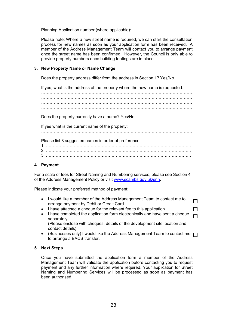Planning Application number (where applicable):………………………….

Please note: Where a new street name is required, we can start the consultation process for new names as soon as your application form has been received. A member of the Address Management Team will contact you to arrange payment once the street name has been confirmed. However, the Council is only able to provide property numbers once building footings are in place.

### **3. New Property Name or Name Change**

Does the property address differ from the address in Section 1? Yes/No

If yes, what is the address of the property where the new name is requested:

……………………………………………………………………………………………… ……………………………………………………………………………………………… ……………………………………………………………………………………………… ………………………………………………………………………………………………

Does the property currently have a name? Yes/No

If yes what is the current name of the property:

………………………………………………………………………………………………

Please list 3 suggested names in order of preference:

1: …………………………………………………………………………………………… 2: …………………………………………………………………………………………… 3: ……………………………………………………………………………………………

### **4. Payment**

For a scale of fees for Street Naming and Numbering services, please see Section 4 of the Address Management Policy or visit www.scambs.gov.uk/snn.

Please indicate your preferred [me](http://www.scambs.gov.uk/snn)thod of payment:

 I would like a member of the Address Management Team to contact me to  $\Box$ arrange payment by Debit or Credit Card.

 $\Box$ 

- I have attached a cheque for the relevant fee to this application.
- I have completed the application form electronically and have sent a cheque  $\Box$ separately. (Please enclose with cheques: details of the development site location and

contact details)

(Businesses only) I would like the Address Management Team to contact me  $\Box$ to arrange a BACS transfer.

### **5. Next Steps**

Once you have submitted the application form a member of the Address Management Team will validate the application before contacting you to request payment and any further information where required. Your application for Street Naming and Numbering Services will be processed as soon as payment has been authorised.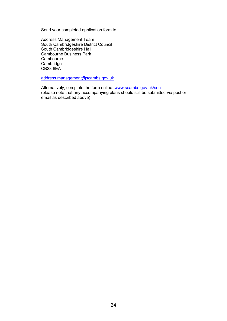Send your completed application form to:

Address Management Team South Cambridgeshire District Council South Cambridgeshire Hall Cambourne Business Park **Cambourne** Cambridge CB23 6EA

address.management@scambs.gov.uk

Alternatively, complete the form online: www.scambs.gov.uk/s[nn](mailto:address.management@scambs.gov.uk) (please note that any accompanying plans should still be submitted via post or email as described above)